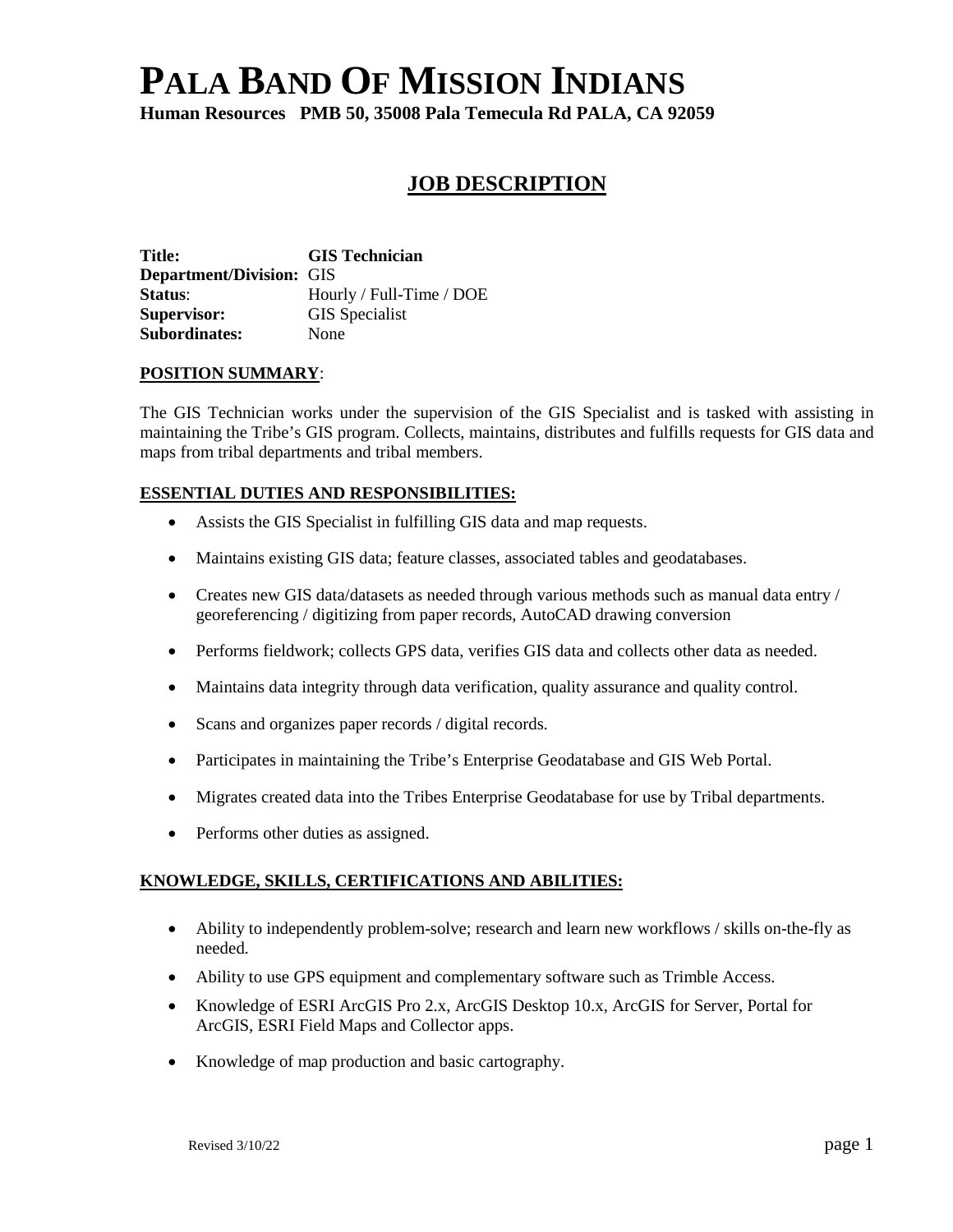# **PALA BAND OF MISSION INDIANS**

**Human Resources PMB 50, 35008 Pala Temecula Rd PALA, CA 92059**

# **JOB DESCRIPTION**

**Title: GIS Technician Department/Division:** GIS **Status**: Hourly / Full-Time / DOE **Supervisor:** GIS Specialist **Subordinates:** None

# **POSITION SUMMARY**:

The GIS Technician works under the supervision of the GIS Specialist and is tasked with assisting in maintaining the Tribe's GIS program. Collects, maintains, distributes and fulfills requests for GIS data and maps from tribal departments and tribal members.

# **ESSENTIAL DUTIES AND RESPONSIBILITIES:**

- Assists the GIS Specialist in fulfilling GIS data and map requests.
- Maintains existing GIS data; feature classes, associated tables and geodatabases.
- Creates new GIS data/datasets as needed through various methods such as manual data entry / georeferencing / digitizing from paper records, AutoCAD drawing conversion
- Performs fieldwork; collects GPS data, verifies GIS data and collects other data as needed.
- Maintains data integrity through data verification, quality assurance and quality control.
- Scans and organizes paper records / digital records.
- Participates in maintaining the Tribe's Enterprise Geodatabase and GIS Web Portal.
- Migrates created data into the Tribes Enterprise Geodatabase for use by Tribal departments.
- Performs other duties as assigned.

# **KNOWLEDGE, SKILLS, CERTIFICATIONS AND ABILITIES:**

- Ability to independently problem-solve; research and learn new workflows / skills on-the-fly as needed.
- Ability to use GPS equipment and complementary software such as Trimble Access.
- Knowledge of ESRI ArcGIS Pro 2.x, ArcGIS Desktop 10.x, ArcGIS for Server, Portal for ArcGIS, ESRI Field Maps and Collector apps.
- Knowledge of map production and basic cartography.